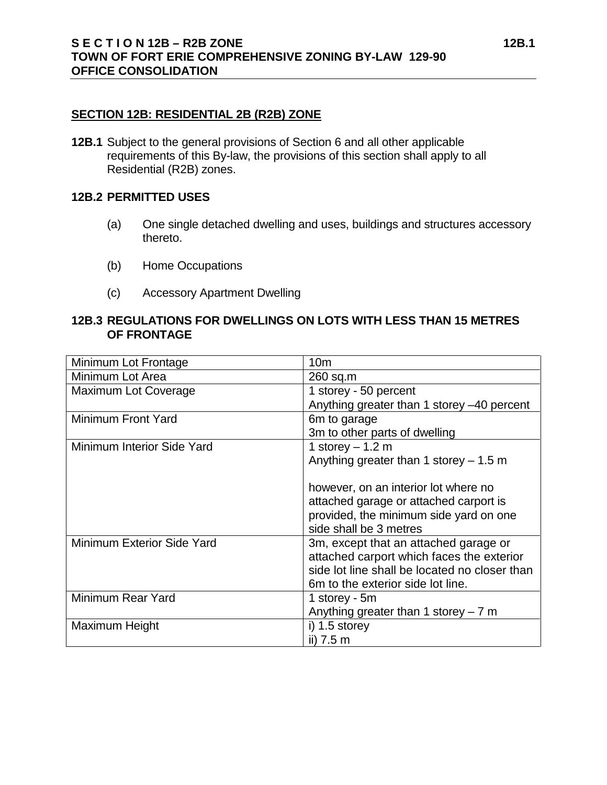## **SECTION 12B: RESIDENTIAL 2B (R2B) ZONE**

**12B.1** Subject to the general provisions of Section 6 and all other applicable requirements of this By-law, the provisions of this section shall apply to all Residential (R2B) zones.

## **12B.2 PERMITTED USES**

- (a) One single detached dwelling and uses, buildings and structures accessory thereto.
- (b) Home Occupations
- (c) Accessory Apartment Dwelling

## **12B.3 REGULATIONS FOR DWELLINGS ON LOTS WITH LESS THAN 15 METRES OF FRONTAGE**

| Minimum Lot Frontage       | 10 <sub>m</sub>                               |
|----------------------------|-----------------------------------------------|
| Minimum Lot Area           | 260 sq.m                                      |
| Maximum Lot Coverage       | 1 storey - 50 percent                         |
|                            | Anything greater than 1 storey -40 percent    |
| <b>Minimum Front Yard</b>  | 6m to garage                                  |
|                            | 3m to other parts of dwelling                 |
| Minimum Interior Side Yard | 1 storey $-1.2$ m                             |
|                            | Anything greater than 1 storey $-1.5$ m       |
|                            |                                               |
|                            | however, on an interior lot where no          |
|                            | attached garage or attached carport is        |
|                            | provided, the minimum side yard on one        |
|                            | side shall be 3 metres                        |
| Minimum Exterior Side Yard | 3m, except that an attached garage or         |
|                            | attached carport which faces the exterior     |
|                            | side lot line shall be located no closer than |
|                            | 6m to the exterior side lot line.             |
| Minimum Rear Yard          | 1 storey - 5m                                 |
|                            | Anything greater than 1 storey $-7$ m         |
| Maximum Height             | i) $1.5$ storey                               |
|                            | ii) 7.5 m                                     |